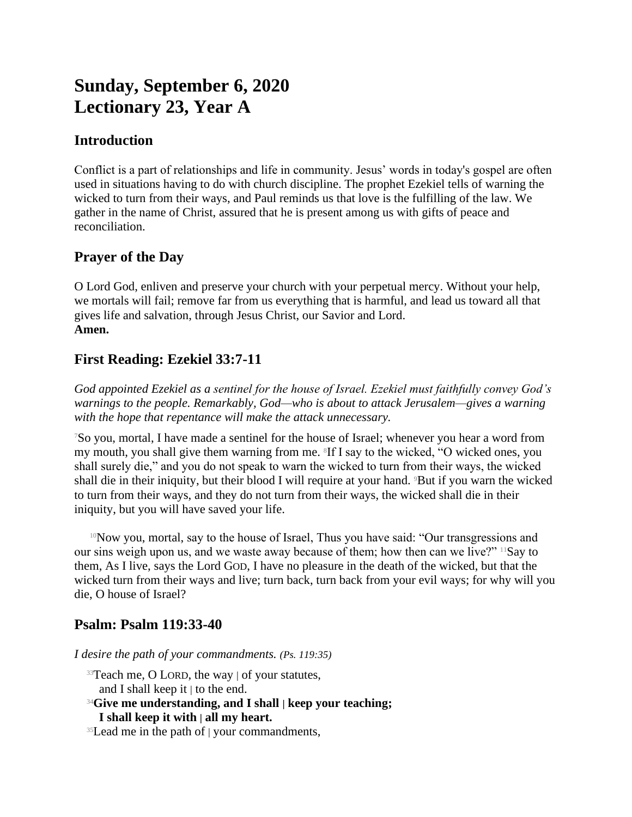# **Sunday, September 6, 2020 Lectionary 23, Year A**

## **Introduction**

Conflict is a part of relationships and life in community. Jesus' words in today's gospel are often used in situations having to do with church discipline. The prophet Ezekiel tells of warning the wicked to turn from their ways, and Paul reminds us that love is the fulfilling of the law. We gather in the name of Christ, assured that he is present among us with gifts of peace and reconciliation.

# **Prayer of the Day**

O Lord God, enliven and preserve your church with your perpetual mercy. Without your help, we mortals will fail; remove far from us everything that is harmful, and lead us toward all that gives life and salvation, through Jesus Christ, our Savior and Lord. **Amen.**

# **First Reading: Ezekiel 33:7-11**

*God appointed Ezekiel as a sentinel for the house of Israel. Ezekiel must faithfully convey God's warnings to the people. Remarkably, God—who is about to attack Jerusalem—gives a warning with the hope that repentance will make the attack unnecessary.*

<sup>7</sup>So you, mortal, I have made a sentinel for the house of Israel; whenever you hear a word from my mouth, you shall give them warning from me. <sup>8</sup>If I say to the wicked, "O wicked ones, you shall surely die," and you do not speak to warn the wicked to turn from their ways, the wicked shall die in their iniquity, but their blood I will require at your hand. 9But if you warn the wicked to turn from their ways, and they do not turn from their ways, the wicked shall die in their iniquity, but you will have saved your life.

<sup>10</sup>Now you, mortal, say to the house of Israel, Thus you have said: "Our transgressions and our sins weigh upon us, and we waste away because of them; how then can we live?" 11Say to them, As I live, says the Lord GOD, I have no pleasure in the death of the wicked, but that the wicked turn from their ways and live; turn back, turn back from your evil ways; for why will you die, O house of Israel?

### **Psalm: Psalm 119:33-40**

*I desire the path of your commandments. (Ps. 119:35)*

- <sup>33</sup>Teach me, O LORD, the way | of your statutes, and I shall keep it | to the end.
- <sup>34</sup>**Give me understanding, and I shall | keep your teaching; I shall keep it with | all my heart.**
- <sup>35</sup>Lead me in the path of | your commandments,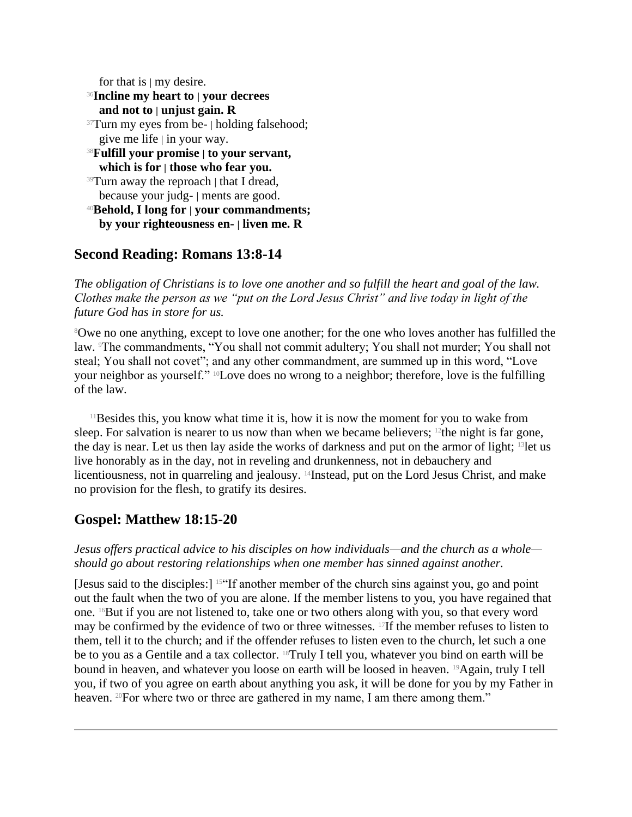for that is  $\vert$  my desire.

### <sup>36</sup>**Incline my heart to | your decrees**

**and not to | unjust gain. R**

<sup>37</sup>Turn my eyes from be- | holding falsehood; give me life  $|$  in your way.

- <sup>38</sup>**Fulfill your promise | to your servant, which is for | those who fear you.**
- $39$ Turn away the reproach | that I dread, because your judg- | ments are good.
- <sup>40</sup>**Behold, I long for | your commandments; by your righteousness en- | liven me. R**

# **Second Reading: Romans 13:8-14**

*The obligation of Christians is to love one another and so fulfill the heart and goal of the law. Clothes make the person as we "put on the Lord Jesus Christ" and live today in light of the future God has in store for us.*

<sup>8</sup>Owe no one anything, except to love one another; for the one who loves another has fulfilled the law. The commandments, "You shall not commit adultery; You shall not murder; You shall not steal; You shall not covet"; and any other commandment, are summed up in this word, "Love your neighbor as yourself." 10Love does no wrong to a neighbor; therefore, love is the fulfilling of the law.

 $11$ Besides this, you know what time it is, how it is now the moment for you to wake from sleep. For salvation is nearer to us now than when we became believers;  $12$  the night is far gone, the day is near. Let us then lay aside the works of darkness and put on the armor of light; 13let us live honorably as in the day, not in reveling and drunkenness, not in debauchery and licentiousness, not in quarreling and jealousy. <sup>14</sup>Instead, put on the Lord Jesus Christ, and make no provision for the flesh, to gratify its desires.

#### **Gospel: Matthew 18:15-20**

*Jesus offers practical advice to his disciples on how individuals—and the church as a whole should go about restoring relationships when one member has sinned against another.*

[Jesus said to the disciples:] 15"If another member of the church sins against you, go and point out the fault when the two of you are alone. If the member listens to you, you have regained that one. 16But if you are not listened to, take one or two others along with you, so that every word may be confirmed by the evidence of two or three witnesses. 17If the member refuses to listen to them, tell it to the church; and if the offender refuses to listen even to the church, let such a one be to you as a Gentile and a tax collector. 18Truly I tell you, whatever you bind on earth will be bound in heaven, and whatever you loose on earth will be loosed in heaven. <sup>19</sup>Again, truly I tell you, if two of you agree on earth about anything you ask, it will be done for you by my Father in heaven. <sup>20</sup>For where two or three are gathered in my name, I am there among them."